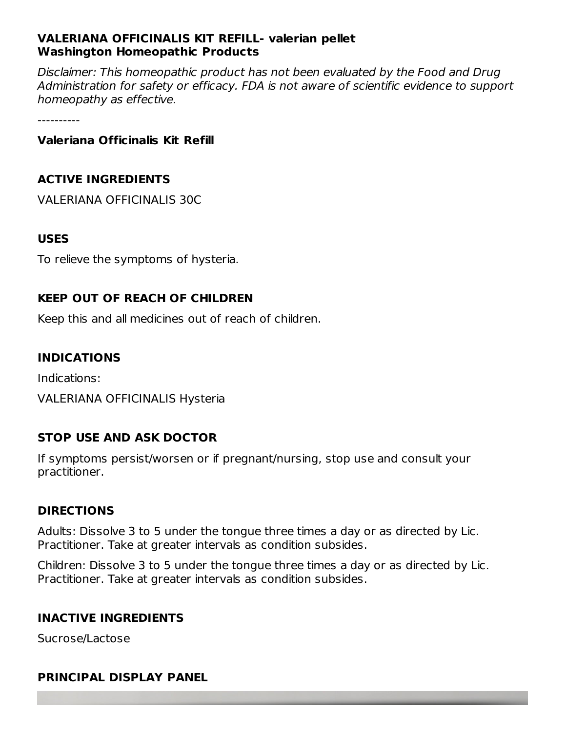#### **VALERIANA OFFICINALIS KIT REFILL- valerian pellet Washington Homeopathic Products**

Disclaimer: This homeopathic product has not been evaluated by the Food and Drug Administration for safety or efficacy. FDA is not aware of scientific evidence to support homeopathy as effective.

----------

#### **Valeriana Officinalis Kit Refill**

#### **ACTIVE INGREDIENTS**

VALERIANA OFFICINALIS 30C

#### **USES**

To relieve the symptoms of hysteria.

#### **KEEP OUT OF REACH OF CHILDREN**

Keep this and all medicines out of reach of children.

#### **INDICATIONS**

Indications:

VALERIANA OFFICINALIS Hysteria

#### **STOP USE AND ASK DOCTOR**

If symptoms persist/worsen or if pregnant/nursing, stop use and consult your practitioner.

#### **DIRECTIONS**

Adults: Dissolve 3 to 5 under the tongue three times a day or as directed by Lic. Practitioner. Take at greater intervals as condition subsides.

Children: Dissolve 3 to 5 under the tongue three times a day or as directed by Lic. Practitioner. Take at greater intervals as condition subsides.

#### **INACTIVE INGREDIENTS**

Sucrose/Lactose

#### **PRINCIPAL DISPLAY PANEL**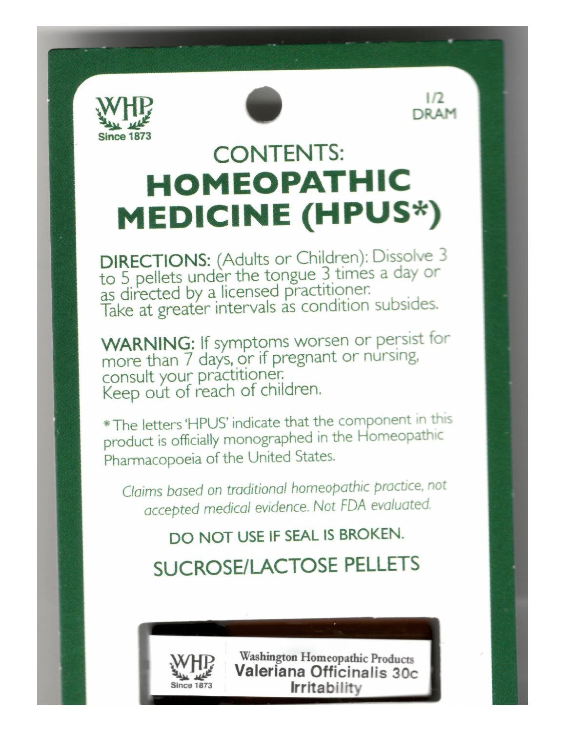



 $1/2$ DRAM

# **CONTENTS: HOMEOPATHIC MEDICINE (HPUS\*)**

**DIRECTIONS:** (Adults or Children): Dissolve 3<br>to 5 pellets under the tongue 3 times a day or<br>as directed by a licensed practitioner. Take at greater intervals as condition subsides.

**WARNING:** If symptoms worsen or persist for more than 7 days, or if pregnant or nursing, consult your practitioner. Keep out of reach of children.

\* The letters 'HPUS' indicate that the component in this product is officially monographed in the Homeopathic Pharmacopoeia of the United States.

Claims based on traditional homeopathic practice, not accepted medical evidence. Not FDA evaluated.

## DO NOT USE IF SEAL IS BROKEN.

**SUCROSE/LACTOSE PELLETS** 



Washington Homeopathic Products Valeriana Officinalis 30c Irritability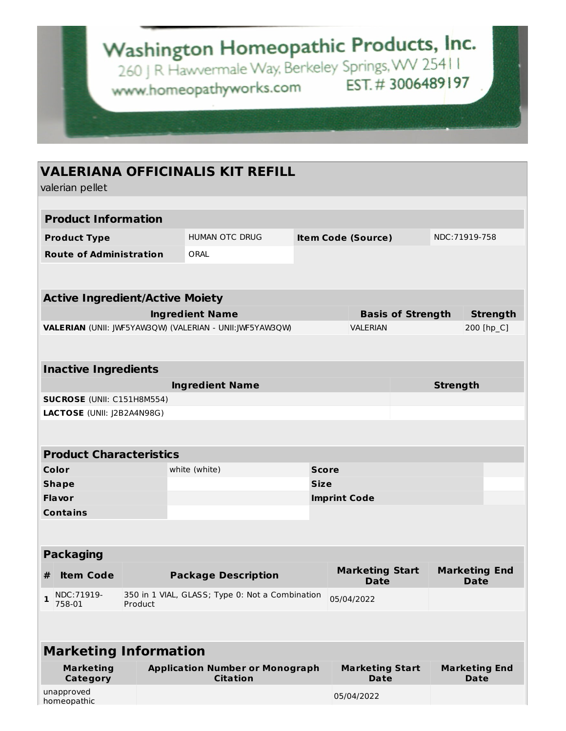# Washington Homeopathic Products, Inc.

260 J R Hawvermale Way, Berkeley Springs, WV 254 | I www.homeopathyworks.com EST.#3006489197

### **VALERIANA OFFICINALIS KIT REFILL**

valerian pellet

| valeriari pellet                       |                                                            |                                                           |              |                                |                           |                                     |                      |  |  |  |
|----------------------------------------|------------------------------------------------------------|-----------------------------------------------------------|--------------|--------------------------------|---------------------------|-------------------------------------|----------------------|--|--|--|
|                                        |                                                            |                                                           |              |                                |                           |                                     |                      |  |  |  |
| <b>Product Information</b>             |                                                            |                                                           |              |                                |                           |                                     |                      |  |  |  |
| <b>Product Type</b>                    |                                                            | <b>HUMAN OTC DRUG</b>                                     |              |                                | <b>Item Code (Source)</b> |                                     | NDC:71919-758        |  |  |  |
| <b>Route of Administration</b>         |                                                            | ORAL                                                      |              |                                |                           |                                     |                      |  |  |  |
|                                        |                                                            |                                                           |              |                                |                           |                                     |                      |  |  |  |
| <b>Active Ingredient/Active Moiety</b> |                                                            |                                                           |              |                                |                           |                                     |                      |  |  |  |
|                                        |                                                            | <b>Ingredient Name</b>                                    |              |                                | <b>Basis of Strength</b>  |                                     | <b>Strength</b>      |  |  |  |
|                                        |                                                            | VALERIAN (UNII: JWF5YAW3QW) (VALERIAN - UNII:JWF5YAW3QW)  |              | <b>VALERIAN</b>                |                           |                                     | 200 [hp_C]           |  |  |  |
|                                        |                                                            |                                                           |              |                                |                           |                                     |                      |  |  |  |
|                                        |                                                            |                                                           |              |                                |                           |                                     |                      |  |  |  |
| <b>Inactive Ingredients</b>            |                                                            |                                                           |              |                                |                           |                                     |                      |  |  |  |
|                                        |                                                            | <b>Ingredient Name</b>                                    |              |                                |                           | <b>Strength</b>                     |                      |  |  |  |
| <b>SUCROSE</b> (UNII: C151H8M554)      |                                                            |                                                           |              |                                |                           |                                     |                      |  |  |  |
| LACTOSE (UNII: J2B2A4N98G)             |                                                            |                                                           |              |                                |                           |                                     |                      |  |  |  |
|                                        |                                                            |                                                           |              |                                |                           |                                     |                      |  |  |  |
| <b>Product Characteristics</b>         |                                                            |                                                           |              |                                |                           |                                     |                      |  |  |  |
| Color                                  |                                                            | white (white)                                             | <b>Score</b> |                                |                           |                                     |                      |  |  |  |
| <b>Shape</b>                           |                                                            |                                                           | <b>Size</b>  |                                |                           |                                     |                      |  |  |  |
| <b>Flavor</b>                          |                                                            |                                                           |              | <b>Imprint Code</b>            |                           |                                     |                      |  |  |  |
| <b>Contains</b>                        |                                                            |                                                           |              |                                |                           |                                     |                      |  |  |  |
|                                        |                                                            |                                                           |              |                                |                           |                                     |                      |  |  |  |
| <b>Packaging</b>                       |                                                            |                                                           |              |                                |                           |                                     |                      |  |  |  |
|                                        |                                                            |                                                           |              |                                | <b>Marketing Start</b>    |                                     | <b>Marketing End</b> |  |  |  |
| <b>Item Code</b><br>#                  |                                                            | <b>Package Description</b>                                |              | <b>Date</b>                    |                           | <b>Date</b>                         |                      |  |  |  |
| NDC:71919-<br>1<br>758-01              | 350 in 1 VIAL, GLASS; Type 0: Not a Combination<br>Product |                                                           |              | 05/04/2022                     |                           |                                     |                      |  |  |  |
|                                        |                                                            |                                                           |              |                                |                           |                                     |                      |  |  |  |
|                                        |                                                            |                                                           |              |                                |                           |                                     |                      |  |  |  |
| <b>Marketing Information</b>           |                                                            |                                                           |              |                                |                           |                                     |                      |  |  |  |
| <b>Marketing</b><br>Category           |                                                            | <b>Application Number or Monograph</b><br><b>Citation</b> |              | <b>Marketing Start</b><br>Date |                           | <b>Marketing End</b><br><b>Date</b> |                      |  |  |  |
| unapproved<br>homeopathic              |                                                            |                                                           |              | 05/04/2022                     |                           |                                     |                      |  |  |  |
|                                        |                                                            |                                                           |              |                                |                           |                                     |                      |  |  |  |